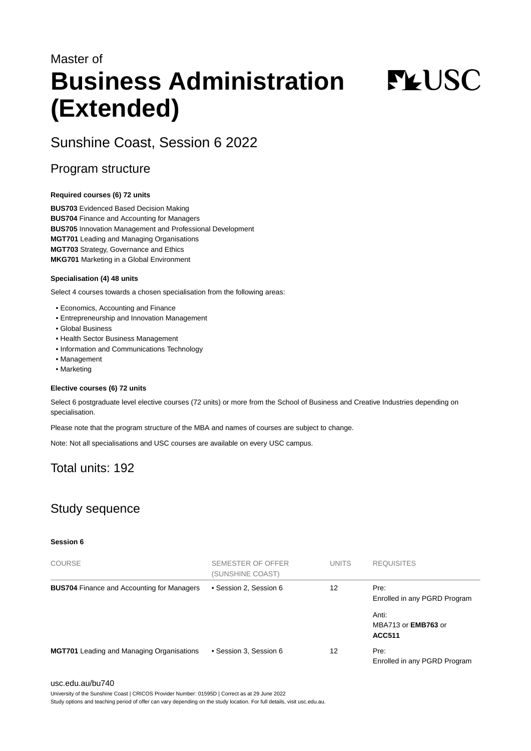# Master of **Business Administration (Extended)**

**FYUSC** 

# Sunshine Coast, Session 6 2022

### Program structure

#### **Required courses (6) 72 units**

**BUS703** Evidenced Based Decision Making **BUS704** Finance and Accounting for Managers **BUS705** Innovation Management and Professional Development **MGT701** Leading and Managing Organisations **MGT703** Strategy, Governance and Ethics **MKG701** Marketing in a Global Environment

#### **Specialisation (4) 48 units**

Select 4 courses towards a chosen specialisation from the following areas:

- Economics, Accounting and Finance
- Entrepreneurship and Innovation Management
- Global Business
- Health Sector Business Management
- Information and Communications Technology
- Management
- Marketing

#### **Elective courses (6) 72 units**

Select 6 postgraduate level elective courses (72 units) or more from the School of Business and Creative Industries depending on specialisation.

Please note that the program structure of the MBA and names of courses are subject to change.

Note: Not all specialisations and USC courses are available on every USC campus.

# Total units: 192

# Study sequence

#### **Session 6**

| <b>COURSE</b>                                     | <b>SEMESTER OF OFFER</b><br>(SUNSHINE COAST) | <b>UNITS</b> | <b>REQUISITES</b>                                    |
|---------------------------------------------------|----------------------------------------------|--------------|------------------------------------------------------|
| <b>BUS704</b> Finance and Accounting for Managers | • Session 2, Session 6                       | 12           | Pre:<br>Enrolled in any PGRD Program                 |
|                                                   |                                              |              | Anti:<br>MBA713 or <b>EMB763</b> or<br><b>ACC511</b> |
| <b>MGT701</b> Leading and Managing Organisations  | • Session 3, Session 6                       | 12           | Pre:<br>Enrolled in any PGRD Program                 |

#### [usc.edu.au/bu740](https://www.usc.edu.au/bu740)

University of the Sunshine Coast | CRICOS Provider Number: 01595D | Correct as at 29 June 2022

Study options and teaching period of offer can vary depending on the study location. For full details, visit usc.edu.au.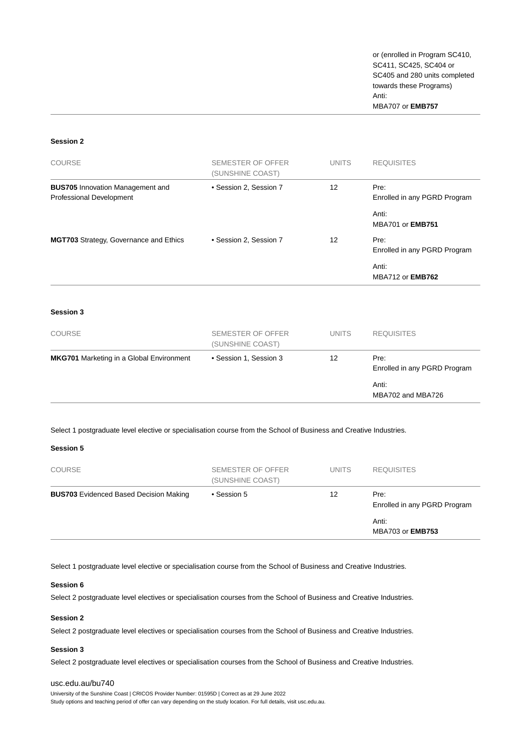or (enrolled in Program SC410, SC411, SC425, SC404 or SC405 and 280 units completed towards these Programs) Anti: MBA707 or **EMB757**

#### **Session 2**

| COURSE                                                              | <b>SEMESTER OF OFFER</b><br>(SUNSHINE COAST) | <b>UNITS</b> | <b>REQUISITES</b>                    |
|---------------------------------------------------------------------|----------------------------------------------|--------------|--------------------------------------|
| <b>BUS705</b> Innovation Management and<br>Professional Development | • Session 2, Session 7                       | 12           | Pre:<br>Enrolled in any PGRD Program |
|                                                                     |                                              |              | Anti:<br><b>MBA701 or EMB751</b>     |
| <b>MGT703</b> Strategy, Governance and Ethics                       | • Session 2, Session 7                       | 12           | Pre:<br>Enrolled in any PGRD Program |
|                                                                     |                                              |              | Anti:<br><b>MBA712 or EMB762</b>     |

#### **Session 3**

| <b>COURSE</b>                                   | SEMESTER OF OFFER<br>(SUNSHINE COAST) | <b>UNITS</b> | <b>REQUISITES</b>                    |
|-------------------------------------------------|---------------------------------------|--------------|--------------------------------------|
| <b>MKG701</b> Marketing in a Global Environment | • Session 1, Session 3                | 12           | Pre:<br>Enrolled in any PGRD Program |
|                                                 |                                       |              | Anti:<br>MBA702 and MBA726           |

Select 1 postgraduate level elective or specialisation course from the School of Business and Creative Industries.

#### **Session 5**

| <b>COURSE</b>                                 | SEMESTER OF OFFER<br>(SUNSHINE COAST) | <b>UNITS</b> | <b>REQUISITES</b>                    |
|-----------------------------------------------|---------------------------------------|--------------|--------------------------------------|
| <b>BUS703</b> Evidenced Based Decision Making | • Session 5<br>12                     |              | Pre:<br>Enrolled in any PGRD Program |
|                                               |                                       |              | Anti:<br><b>MBA703 or EMB753</b>     |

Select 1 postgraduate level elective or specialisation course from the School of Business and Creative Industries.

#### **Session 6**

Select 2 postgraduate level electives or specialisation courses from the School of Business and Creative Industries.

#### **Session 2**

Select 2 postgraduate level electives or specialisation courses from the School of Business and Creative Industries.

#### **Session 3**

Select 2 postgraduate level electives or specialisation courses from the School of Business and Creative Industries.

#### [usc.edu.au/bu740](https://www.usc.edu.au/bu740)

University of the Sunshine Coast | CRICOS Provider Number: 01595D | Correct as at 29 June 2022 Study options and teaching period of offer can vary depending on the study location. For full details, visit usc.edu.au.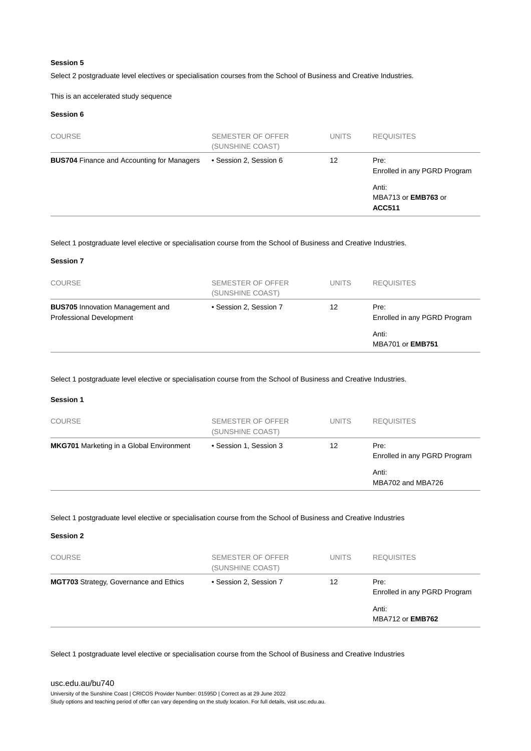#### **Session 5**

Select 2 postgraduate level electives or specialisation courses from the School of Business and Creative Industries.

This is an accelerated study sequence

#### **Session 6**

| <b>COURSE</b>                                     | SEMESTER OF OFFER<br>(SUNSHINE COAST) | <b>UNITS</b> | <b>REQUISITES</b>                                    |
|---------------------------------------------------|---------------------------------------|--------------|------------------------------------------------------|
| <b>BUS704</b> Finance and Accounting for Managers | • Session 2, Session 6                | 12           | Pre:<br>Enrolled in any PGRD Program                 |
|                                                   |                                       |              | Anti:<br>MBA713 or <b>EMB763</b> or<br><b>ACC511</b> |

Select 1 postgraduate level elective or specialisation course from the School of Business and Creative Industries.

#### **Session 7**

| <b>COURSE</b>                                                       | SEMESTER OF OFFER<br>(SUNSHINE COAST) | <b>UNITS</b> | <b>REQUISITES</b>                    |
|---------------------------------------------------------------------|---------------------------------------|--------------|--------------------------------------|
| <b>BUS705</b> Innovation Management and<br>Professional Development | • Session 2, Session 7                | 12           | Pre:<br>Enrolled in any PGRD Program |
|                                                                     |                                       |              | Anti:<br><b>MBA701 or EMB751</b>     |

Select 1 postgraduate level elective or specialisation course from the School of Business and Creative Industries.

#### **Session 1**

| <b>COURSE</b>                                   | SEMESTER OF OFFER<br>(SUNSHINE COAST) | <b>UNITS</b> | <b>REQUISITES</b>                    |
|-------------------------------------------------|---------------------------------------|--------------|--------------------------------------|
| <b>MKG701</b> Marketing in a Global Environment | • Session 1, Session 3                | 12           | Pre:<br>Enrolled in any PGRD Program |
|                                                 |                                       |              | Anti:<br>MBA702 and MBA726           |

Select 1 postgraduate level elective or specialisation course from the School of Business and Creative Industries

**Session 2**

| <b>COURSE</b>                                 | SEMESTER OF OFFER<br>(SUNSHINE COAST) | <b>UNITS</b>                         | <b>REQUISITES</b>                |
|-----------------------------------------------|---------------------------------------|--------------------------------------|----------------------------------|
| <b>MGT703</b> Strategy, Governance and Ethics | • Session 2, Session 7<br>12          | Pre:<br>Enrolled in any PGRD Program |                                  |
|                                               |                                       |                                      | Anti:<br><b>MBA712 or EMB762</b> |

Select 1 postgraduate level elective or specialisation course from the School of Business and Creative Industries

#### [usc.edu.au/bu740](https://www.usc.edu.au/bu740)

University of the Sunshine Coast | CRICOS Provider Number: 01595D | Correct as at 29 June 2022 Study options and teaching period of offer can vary depending on the study location. For full details, visit usc.edu.au.